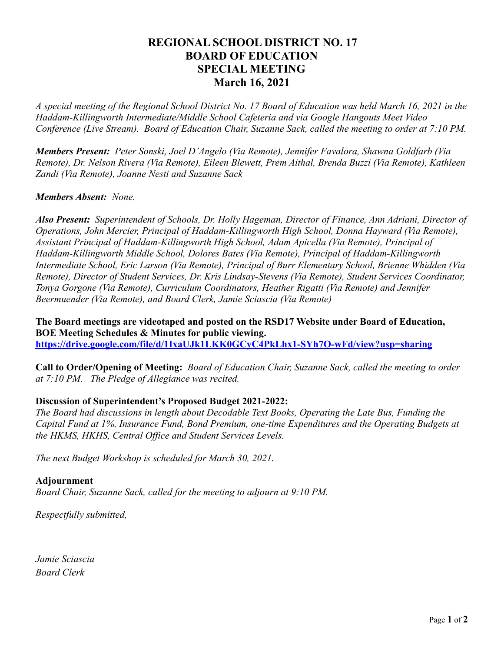## **REGIONAL SCHOOL DISTRICT NO. 17 BOARD OF EDUCATION SPECIAL MEETING March 16, 2021**

*A special meeting of the Regional School District No. 17 Board of Education was held March 16, 2021 in the Haddam-Killingworth Intermediate/Middle School Cafeteria and via Google Hangouts Meet Video Conference (Live Stream). Board of Education Chair, Suzanne Sack, called the meeting to order at 7:10 PM.*

*Members Present: Peter Sonski, Joel D'Angelo (Via Remote), Jennifer Favalora, Shawna Goldfarb (Via Remote), Dr. Nelson Rivera (Via Remote), Eileen Blewett, Prem Aithal, Brenda Buzzi (Via Remote), Kathleen Zandi (Via Remote), Joanne Nesti and Suzanne Sack*

## *Members Absent: None.*

*Also Present: Superintendent of Schools, Dr. Holly Hageman, Director of Finance, Ann Adriani, Director of Operations, John Mercier, Principal of Haddam-Killingworth High School, Donna Hayward (Via Remote), Assistant Principal of Haddam-Killingworth High School, Adam Apicella (Via Remote), Principal of Haddam-Killingworth Middle School, Dolores Bates (Via Remote), Principal of Haddam-Killingworth Intermediate School, Eric Larson (Via Remote), Principal of Burr Elementary School, Brienne Whidden (Via Remote), Director of Student Services, Dr. Kris Lindsay-Stevens (Via Remote), Student Services Coordinator, Tonya Gorgone (Via Remote), Curriculum Coordinators, Heather Rigatti (Via Remote) and Jennifer Beermuender (Via Remote), and Board Clerk, Jamie Sciascia (Via Remote)*

**The Board meetings are videotaped and posted on the RSD17 Website under Board of Education, BOE Meeting Schedules & Minutes for public viewing. <https://drive.google.com/file/d/1IxaUJk1LKK0GCyC4PkLhx1-SYh7O-wFd/view?usp=sharing>**

**Call to Order/Opening of Meeting:** *Board of Education Chair, Suzanne Sack, called the meeting to order at 7:10 PM. The Pledge of Allegiance was recited.*

## **Discussion of Superintendent's Proposed Budget 2021-2022:**

*The Board had discussions in length about Decodable Text Books, Operating the Late Bus, Funding the Capital Fund at 1%, Insurance Fund, Bond Premium, one-time Expenditures and the Operating Budgets at the HKMS, HKHS, Central Office and Student Services Levels.*

*The next Budget Workshop is scheduled for March 30, 2021.*

## **Adjournment**

*Board Chair, Suzanne Sack, called for the meeting to adjourn at 9:10 PM.*

*Respectfully submitted,*

*Jamie Sciascia Board Clerk*